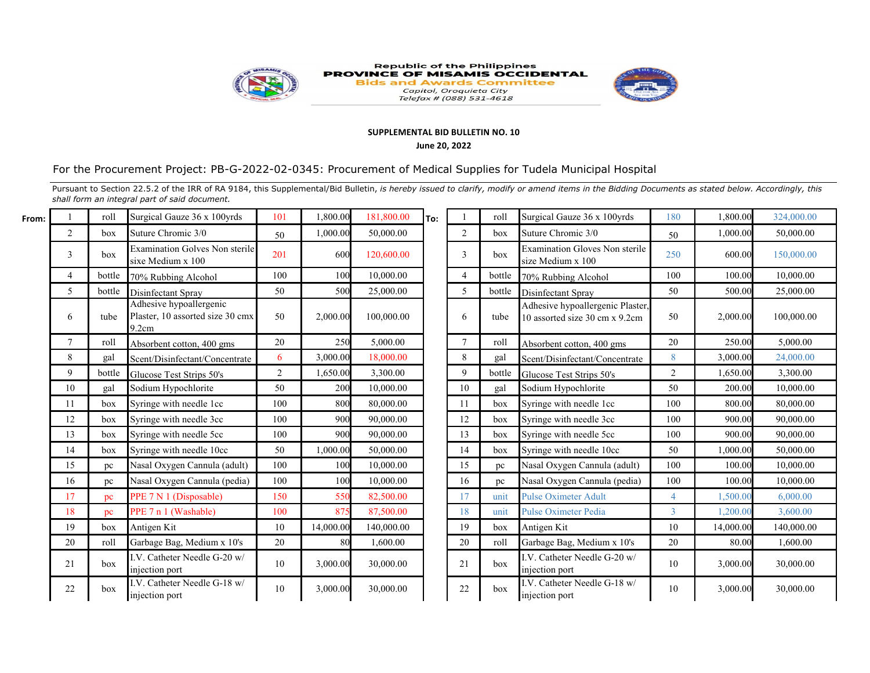

## Republic of the Philippines<br>PROVINCE OF MISAMIS OCCIDENTAL **Bids and Awards Committee** Capitol, Oroquieta City<br>Telefax # (088) 531-4618



## **SUPPLEMENTAL BID BULLETIN NO. 10**

## **June 20, 2022**

## For the Procurement Project: PB-G-2022-02-0345: Procurement of Medical Supplies for Tudela Municipal Hospital

Pursuant to Section 22.5.2 of the IRR of RA 9184, this Supplemental/Bid Bulletin, is hereby issued to clarify, modify or amend items in the Bidding Documents as stated below. Accordingly, this *shall form an integral part of said document.*

| From: |                | roll   | Surgical Gauze 36 x 100yrds                                          | 101            | 1,800.00  | 181,800.00 | lTo: |        | roll   | Surgical Gauze 36 x 100yrds                                        | 180            | 1,800.00  | 324,000.00 |
|-------|----------------|--------|----------------------------------------------------------------------|----------------|-----------|------------|------|--------|--------|--------------------------------------------------------------------|----------------|-----------|------------|
|       | $\overline{2}$ | box    | Suture Chromic 3/0                                                   | 50             | 1.000.00  | 50,000.00  |      | 2      | box    | Suture Chromic 3/0                                                 | 50             | 1,000.00  | 50,000.00  |
|       | 3              | box    | <b>Examination Golves Non sterile</b><br>sixe Medium x 100           | 201            | 600       | 120,600.00 |      | 3      | box    | Examination Gloves Non sterile<br>size Medium x 100                | 250            | 600.00    | 150,000.00 |
|       |                | bottle | 70% Rubbing Alcohol                                                  | 100            | 100       | 10,000.00  |      | 4      | bottle | 70% Rubbing Alcohol                                                | 100            | 100.00    | 10,000.00  |
|       | 5              | bottle | Disinfectant Spray                                                   | 50             | 500       | 25,000.00  |      | 5      | bottle | Disinfectant Spray                                                 | 50             | 500.00    | 25,000.00  |
|       | 6              | tube   | Adhesive hypoallergenic<br>Plaster, 10 assorted size 30 cmx<br>9.2cm | 50             | 2,000.00  | 100,000.00 |      | 6      | tube   | Adhesive hypoallergenic Plaster,<br>10 assorted size 30 cm x 9.2cm | 50             | 2,000.00  | 100,000.00 |
|       | $\tau$         | roll   | Absorbent cotton, 400 gms                                            | 20             | 250       | 5,000.00   |      | $\tau$ | roll   | Absorbent cotton, 400 gms                                          | 20             | 250.00    | 5,000.00   |
|       | 8              | gal    | Scent/Disinfectant/Concentrate                                       | 6              | 3,000.00  | 18,000.00  |      | 8      | gal    | Scent/Disinfectant/Concentrate                                     | 8              | 3,000.00  | 24,000.00  |
|       | 9              | bottle | Glucose Test Strips 50's                                             | $\overline{2}$ | 1,650.00  | 3,300.00   |      | 9      | bottle | Glucose Test Strips 50's                                           | 2              | 1.650.00  | 3,300.00   |
|       | 10             | gal    | Sodium Hypochlorite                                                  | 50             | 200       | 10,000.00  |      | 10     | gal    | Sodium Hypochlorite                                                | 50             | 200.00    | 10,000.00  |
|       | 11             | box    | Syringe with needle 1cc                                              | 100            | 800       | 80,000.00  |      | 11     | box    | Syringe with needle 1cc                                            | 100            | 800.00    | 80,000.00  |
|       | 12             | box    | Syringe with needle 3cc                                              | 100            | 900       | 90,000.00  |      | 12     | box    | Syringe with needle 3cc                                            | 100            | 900.00    | 90,000.00  |
|       | 13             | box    | Syringe with needle 5cc                                              | 100            | 900       | 90,000.00  |      | 13     | box    | Syringe with needle 5cc                                            | 100            | 900.00    | 90,000.00  |
|       | 14             | box    | Syringe with needle 10cc                                             | 50             | 1.000.00  | 50,000.00  |      | 14     | box    | Syringe with needle 10cc                                           | 50             | 1,000.00  | 50,000.00  |
|       | 15             | pc     | Nasal Oxygen Cannula (adult)                                         | 100            | 100       | 10,000.00  |      | 15     | pc     | Nasal Oxygen Cannula (adult)                                       | 100            | 100.00    | 10,000.00  |
|       | 16             | pc     | Nasal Oxygen Cannula (pedia)                                         | 100            | 100       | 10,000.00  |      | 16     | pc     | Nasal Oxygen Cannula (pedia)                                       | 100            | 100.00    | 10,000.00  |
|       | 17             | pc     | PPE 7 N 1 (Disposable)                                               | 150            | 550       | 82,500.00  |      | 17     | unit   | <b>Pulse Oximeter Adult</b>                                        | $\overline{4}$ | 1,500.00  | 6,000.00   |
|       | 18             | pc     | PPE 7 n 1 (Washable)                                                 | 100            | 875       | 87,500.00  |      | 18     | unit   | <b>Pulse Oximeter Pedia</b>                                        |                | 1,200.00  | 3,600.00   |
|       | 19             | box    | Antigen Kit                                                          | 10             | 14,000.00 | 140,000.00 |      | 19     | box    | Antigen Kit                                                        | 10             | 14,000.00 | 140,000.00 |
|       | 20             | roll   | Garbage Bag, Medium x 10's                                           | 20             | 80        | 1,600.00   |      | 20     | roll   | Garbage Bag, Medium x 10's                                         | 20             | 80.00     | 1,600.00   |
|       | 21             | box    | I.V. Catheter Needle G-20 w/<br>injection port                       | 10             | 3,000.00  | 30,000.00  |      | 21     | box    | I.V. Catheter Needle G-20 w/<br>injection port                     | 10             | 3,000.00  | 30,000.00  |
|       | 22             | box    | I.V. Catheter Needle G-18 w/<br>injection port                       | 10             | 3,000.00  | 30,000.00  |      | $22\,$ | box    | I.V. Catheter Needle G-18 w/<br>injection port                     | 10             | 3,000.00  | 30,000.00  |